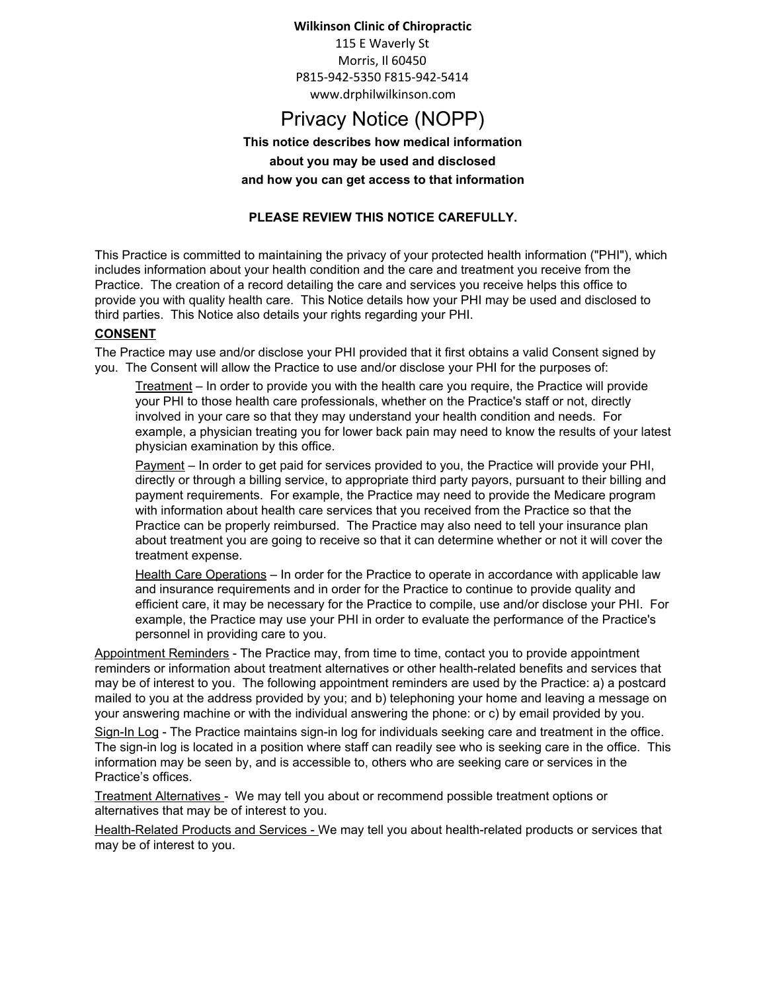#### **Wilkinson Clinic of Chiropractic**

115 E Waverly St Morris, Il 60450 P815-942-5350 F815-942-5414 www.drphilwilkinson.com

# Privacy Notice (NOPP)

**This notice describes how medical information about you may be used and disclosed and how you can get access to that information**

### **PLEASE REVIEW THIS NOTICE CAREFULLY.**

This Practice is committed to maintaining the privacy of your protected health information ("PHI"), which includes information about your health condition and the care and treatment you receive from the Practice. The creation of a record detailing the care and services you receive helps this office to provide you with quality health care. This Notice details how your PHI may be used and disclosed to third parties. This Notice also details your rights regarding your PHI.

#### **CONSENT**

The Practice may use and/or disclose your PHI provided that it first obtains a valid Consent signed by you. The Consent will allow the Practice to use and/or disclose your PHI for the purposes of:

Treatment – In order to provide you with the health care you require, the Practice will provide your PHI to those health care professionals, whether on the Practice's staff or not, directly involved in your care so that they may understand your health condition and needs. For example, a physician treating you for lower back pain may need to know the results of your latest physician examination by this office.

Payment – In order to get paid for services provided to you, the Practice will provide your PHI, directly or through a billing service, to appropriate third party payors, pursuant to their billing and payment requirements. For example, the Practice may need to provide the Medicare program with information about health care services that you received from the Practice so that the Practice can be properly reimbursed. The Practice may also need to tell your insurance plan about treatment you are going to receive so that it can determine whether or not it will cover the treatment expense.

Health Care Operations – In order for the Practice to operate in accordance with applicable law and insurance requirements and in order for the Practice to continue to provide quality and efficient care, it may be necessary for the Practice to compile, use and/or disclose your PHI. For example, the Practice may use your PHI in order to evaluate the performance of the Practice's personnel in providing care to you.

Appointment Reminders - The Practice may, from time to time, contact you to provide appointment reminders or information about treatment alternatives or other health-related benefits and services that may be of interest to you. The following appointment reminders are used by the Practice: a) a postcard mailed to you at the address provided by you; and b) telephoning your home and leaving a message on your answering machine or with the individual answering the phone: or c) by email provided by you.

Sign-In Log - The Practice maintains sign-in log for individuals seeking care and treatment in the office. The sign-in log is located in a position where staff can readily see who is seeking care in the office. This information may be seen by, and is accessible to, others who are seeking care or services in the Practice's offices.

Treatment Alternatives - We may tell you about or recommend possible treatment options or alternatives that may be of interest to you.

Health-Related Products and Services - We may tell you about health-related products or services that may be of interest to you.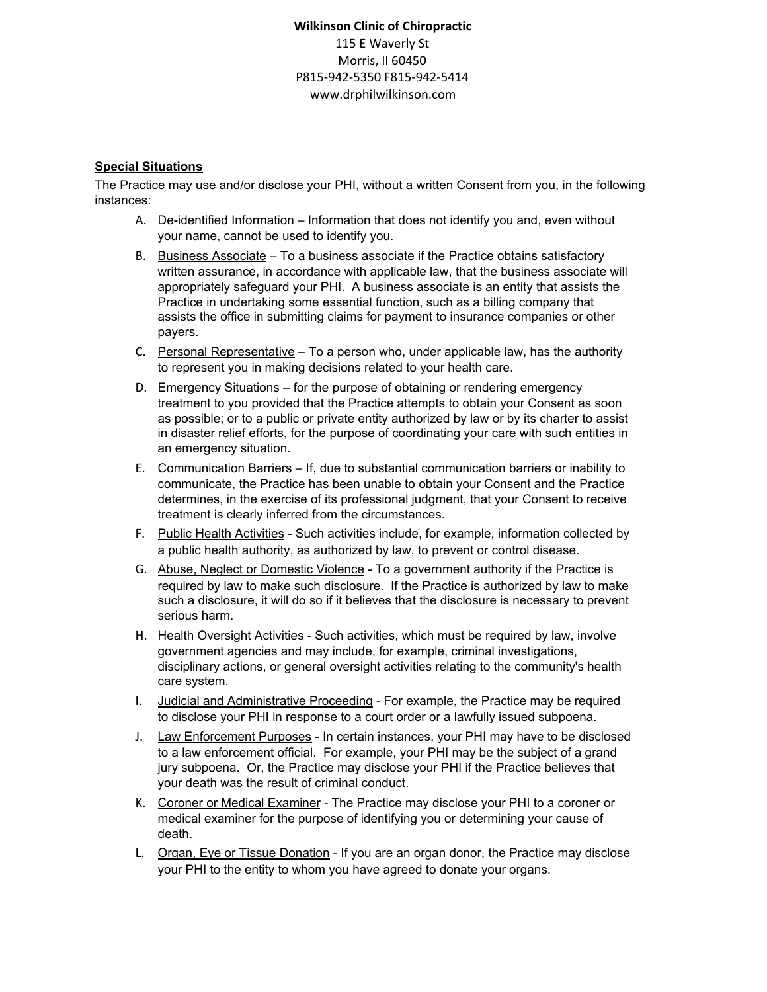# **Wilkinson Clinic of Chiropractic** 115 E Waverly St Morris, Il 60450 P815-942-5350 F815-942-5414 www.drphilwilkinson.com

#### **Special Situations**

The Practice may use and/or disclose your PHI, without a written Consent from you, in the following instances:

- A. De-identified Information Information that does not identify you and, even without your name, cannot be used to identify you.
- B. Business Associate To a business associate if the Practice obtains satisfactory written assurance, in accordance with applicable law, that the business associate will appropriately safeguard your PHI. A business associate is an entity that assists the Practice in undertaking some essential function, such as a billing company that assists the office in submitting claims for payment to insurance companies or other payers.
- C. Personal Representative  $-$  To a person who, under applicable law, has the authority to represent you in making decisions related to your health care.
- D. Emergency Situations for the purpose of obtaining or rendering emergency treatment to you provided that the Practice attempts to obtain your Consent as soon as possible; or to a public or private entity authorized by law or by its charter to assist in disaster relief efforts, for the purpose of coordinating your care with such entities in an emergency situation.
- E. Communication Barriers If, due to substantial communication barriers or inability to communicate, the Practice has been unable to obtain your Consent and the Practice determines, in the exercise of its professional judgment, that your Consent to receive treatment is clearly inferred from the circumstances.
- F. Public Health Activities Such activities include, for example, information collected by a public health authority, as authorized by law, to prevent or control disease.
- G. Abuse, Neglect or Domestic Violence To a government authority if the Practice is required by law to make such disclosure. If the Practice is authorized by law to make such a disclosure, it will do so if it believes that the disclosure is necessary to prevent serious harm.
- H. Health Oversight Activities Such activities, which must be required by law, involve government agencies and may include, for example, criminal investigations, disciplinary actions, or general oversight activities relating to the community's health care system.
- I. Judicial and Administrative Proceeding For example, the Practice may be required to disclose your PHI in response to a court order or a lawfully issued subpoena.
- J. Law Enforcement Purposes In certain instances, your PHI may have to be disclosed to a law enforcement official. For example, your PHI may be the subject of a grand jury subpoena. Or, the Practice may disclose your PHI if the Practice believes that your death was the result of criminal conduct.
- K. Coroner or Medical Examiner The Practice may disclose your PHI to a coroner or medical examiner for the purpose of identifying you or determining your cause of death.
- L. Organ, Eye or Tissue Donation If you are an organ donor, the Practice may disclose your PHI to the entity to whom you have agreed to donate your organs.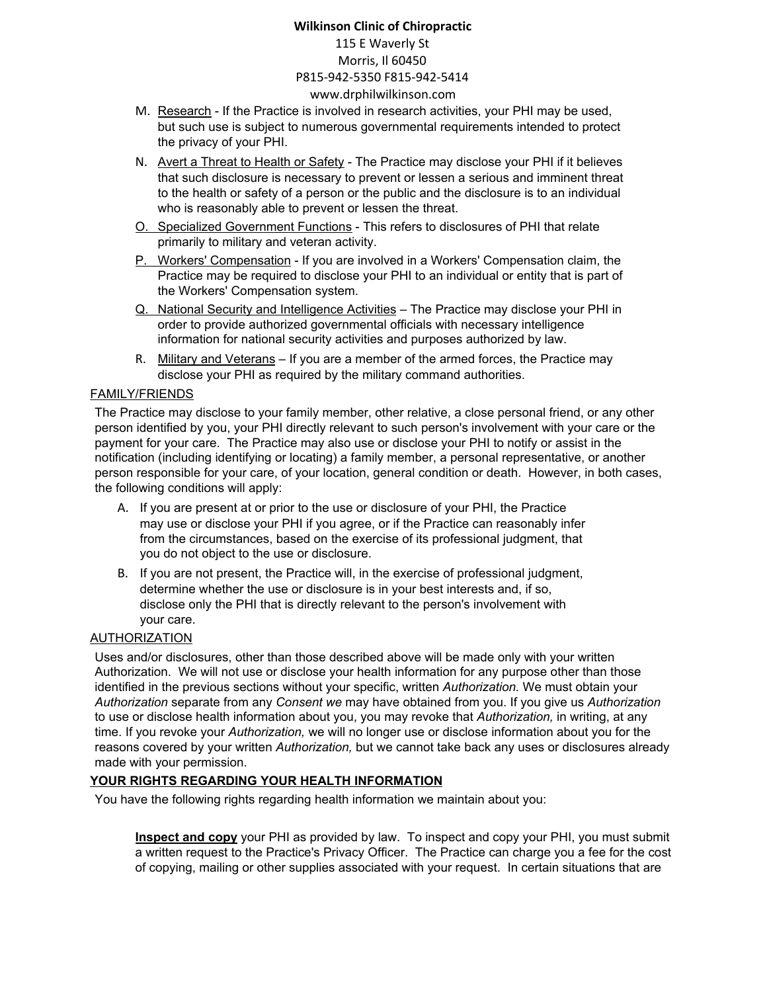## **Wilkinson Clinic of Chiropractic** 115 E Waverly St Morris, Il 60450 P815-942-5350 F815-942-5414 www.drphilwilkinson.com

- M. Research If the Practice is involved in research activities, your PHI may be used, but such use is subject to numerous governmental requirements intended to protect the privacy of your PHI.
- N. Avert a Threat to Health or Safety The Practice may disclose your PHI if it believes that such disclosure is necessary to prevent or lessen a serious and imminent threat to the health or safety of a person or the public and the disclosure is to an individual who is reasonably able to prevent or lessen the threat.
- O. Specialized Government Functions This refers to disclosures of PHI that relate primarily to military and veteran activity.
- P. Workers' Compensation If you are involved in a Workers' Compensation claim, the Practice may be required to disclose your PHI to an individual or entity that is part of the Workers' Compensation system.
- Q. National Security and Intelligence Activities The Practice may disclose your PHI in order to provide authorized governmental officials with necessary intelligence information for national security activities and purposes authorized by law.
- R. Military and Veterans If you are a member of the armed forces, the Practice may disclose your PHI as required by the military command authorities.

#### FAMILY/FRIENDS

The Practice may disclose to your family member, other relative, a close personal friend, or any other person identified by you, your PHI directly relevant to such person's involvement with your care or the payment for your care. The Practice may also use or disclose your PHI to notify or assist in the notification (including identifying or locating) a family member, a personal representative, or another person responsible for your care, of your location, general condition or death. However, in both cases, the following conditions will apply:

- A. If you are present at or prior to the use or disclosure of your PHI, the Practice may use or disclose your PHI if you agree, or if the Practice can reasonably infer from the circumstances, based on the exercise of its professional judgment, that you do not object to the use or disclosure.
- B. If you are not present, the Practice will, in the exercise of professional judgment, determine whether the use or disclosure is in your best interests and, if so, disclose only the PHI that is directly relevant to the person's involvement with your care.

#### AUTHORIZATION

Uses and/or disclosures, other than those described above will be made only with your written Authorization. We will not use or disclose your health information for any purpose other than those identified in the previous sections without your specific, written *Authorization.* We must obtain your *Authorization* separate from any *Consent we* may have obtained from you. If you give us *Authorization* to use or disclose health information about you, you may revoke that *Authorization,* in writing, at any time. If you revoke your *Authorization,* we will no longer use or disclose information about you for the reasons covered by your written *Authorization,* but we cannot take back any uses or disclosures already made with your permission.

#### **YOUR RIGHTS REGARDING YOUR HEALTH INFORMATION**

You have the following rights regarding health information we maintain about you:

**Inspect and copy** your PHI as provided by law. To inspect and copy your PHI, you must submit a written request to the Practice's Privacy Officer. The Practice can charge you a fee for the cost of copying, mailing or other supplies associated with your request. In certain situations that are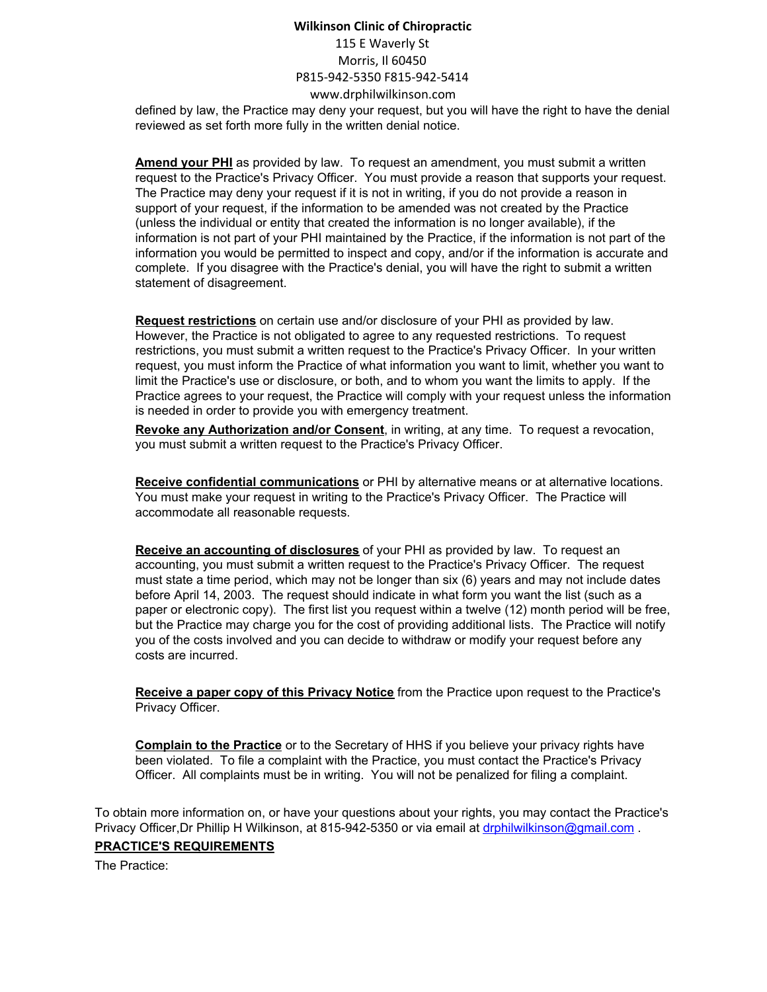# **Wilkinson Clinic of Chiropractic** 115 E Waverly St Morris, Il 60450 P815-942-5350 F815-942-5414 www.drphilwilkinson.com

defined by law, the Practice may deny your request, but you will have the right to have the denial reviewed as set forth more fully in the written denial notice.

**Amend your PHI** as provided by law. To request an amendment, you must submit a written request to the Practice's Privacy Officer. You must provide a reason that supports your request. The Practice may deny your request if it is not in writing, if you do not provide a reason in support of your request, if the information to be amended was not created by the Practice (unless the individual or entity that created the information is no longer available), if the information is not part of your PHI maintained by the Practice, if the information is not part of the information you would be permitted to inspect and copy, and/or if the information is accurate and complete. If you disagree with the Practice's denial, you will have the right to submit a written statement of disagreement.

**Request restrictions** on certain use and/or disclosure of your PHI as provided by law. However, the Practice is not obligated to agree to any requested restrictions. To request restrictions, you must submit a written request to the Practice's Privacy Officer. In your written request, you must inform the Practice of what information you want to limit, whether you want to limit the Practice's use or disclosure, or both, and to whom you want the limits to apply. If the Practice agrees to your request, the Practice will comply with your request unless the information is needed in order to provide you with emergency treatment.

**Revoke any Authorization and/or Consent**, in writing, at any time. To request a revocation, you must submit a written request to the Practice's Privacy Officer.

**Receive confidential communications** or PHI by alternative means or at alternative locations. You must make your request in writing to the Practice's Privacy Officer. The Practice will accommodate all reasonable requests.

**Receive an accounting of disclosures** of your PHI as provided by law. To request an accounting, you must submit a written request to the Practice's Privacy Officer. The request must state a time period, which may not be longer than six (6) years and may not include dates before April 14, 2003. The request should indicate in what form you want the list (such as a paper or electronic copy). The first list you request within a twelve (12) month period will be free, but the Practice may charge you for the cost of providing additional lists. The Practice will notify you of the costs involved and you can decide to withdraw or modify your request before any costs are incurred.

**Receive a paper copy of this Privacy Notice** from the Practice upon request to the Practice's Privacy Officer.

**Complain to the Practice** or to the Secretary of HHS if you believe your privacy rights have been violated. To file a complaint with the Practice, you must contact the Practice's Privacy Officer. All complaints must be in writing. You will not be penalized for filing a complaint.

To obtain more information on, or have your questions about your rights, you may contact the Practice's Privacy Officer,Dr Phillip H Wilkinson, at 815-942-5350 or via email at [drphilwilkinson@gmail.com](mailto:drphilwilkinson@gmail.com) .

#### **PRACTICE'S REQUIREMENTS**

The Practice: